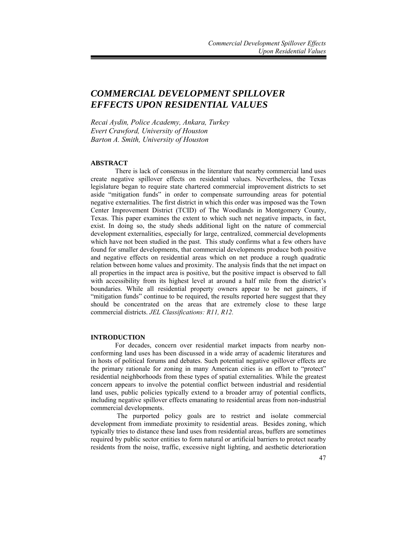# *COMMERCIAL DEVELOPMENT SPILLOVER EFFECTS UPON RESIDENTIAL VALUES*

*Recai Aydin, Police Academy, Ankara, Turkey Evert Crawford, University of Houston Barton A. Smith, University of Houston* 

#### **ABSTRACT**

There is lack of consensus in the literature that nearby commercial land uses create negative spillover effects on residential values. Nevertheless, the Texas legislature began to require state chartered commercial improvement districts to set aside "mitigation funds" in order to compensate surrounding areas for potential negative externalities. The first district in which this order was imposed was the Town Center Improvement District (TCID) of The Woodlands in Montgomery County, Texas. This paper examines the extent to which such net negative impacts, in fact, exist. In doing so, the study sheds additional light on the nature of commercial development externalities, especially for large, centralized, commercial developments which have not been studied in the past. This study confirms what a few others have found for smaller developments, that commercial developments produce both positive and negative effects on residential areas which on net produce a rough quadratic relation between home values and proximity. The analysis finds that the net impact on all properties in the impact area is positive, but the positive impact is observed to fall with accessibility from its highest level at around a half mile from the district's boundaries. While all residential property owners appear to be net gainers, if "mitigation funds" continue to be required, the results reported here suggest that they should be concentrated on the areas that are extremely close to these large commercial districts. *JEL Classifications: R11, R12.*

# **INTRODUCTION**

For decades, concern over residential market impacts from nearby nonconforming land uses has been discussed in a wide array of academic literatures and in hosts of political forums and debates. Such potential negative spillover effects are the primary rationale for zoning in many American cities is an effort to "protect" residential neighborhoods from these types of spatial externalities. While the greatest concern appears to involve the potential conflict between industrial and residential land uses, public policies typically extend to a broader array of potential conflicts, including negative spillover effects emanating to residential areas from non-industrial commercial developments.

 The purported policy goals are to restrict and isolate commercial development from immediate proximity to residential areas. Besides zoning, which typically tries to distance these land uses from residential areas, buffers are sometimes required by public sector entities to form natural or artificial barriers to protect nearby residents from the noise, traffic, excessive night lighting, and aesthetic deterioration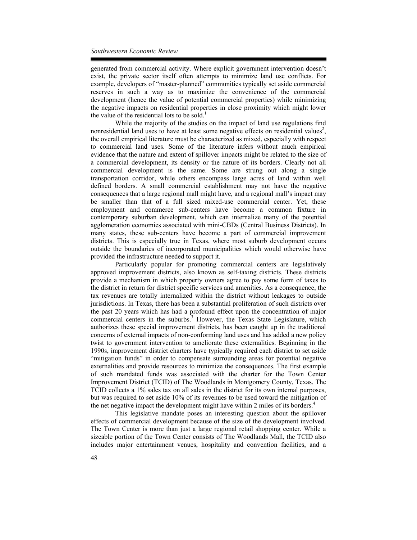generated from commercial activity. Where explicit government intervention doesn't exist, the private sector itself often attempts to minimize land use conflicts. For example, developers of "master-planned" communities typically set aside commercial reserves in such a way as to maximize the convenience of the commercial development (hence the value of potential commercial properties) while minimizing the negative impacts on residential properties in close proximity which might lower the value of the residential lots to be sold.<sup>1</sup>

While the majority of the studies on the impact of land use regulations find nonresidential land uses to have at least some negative effects on residential values<sup>2</sup>, the overall empirical literature must be characterized as mixed, especially with respect to commercial land uses. Some of the literature infers without much empirical evidence that the nature and extent of spillover impacts might be related to the size of a commercial development, its density or the nature of its borders. Clearly not all commercial development is the same. Some are strung out along a single transportation corridor, while others encompass large acres of land within well defined borders. A small commercial establishment may not have the negative consequences that a large regional mall might have, and a regional mall's impact may be smaller than that of a full sized mixed-use commercial center. Yet, these employment and commerce sub-centers have become a common fixture in contemporary suburban development, which can internalize many of the potential agglomeration economies associated with mini-CBDs (Central Business Districts). In many states, these sub-centers have become a part of commercial improvement districts. This is especially true in Texas, where most suburb development occurs outside the boundaries of incorporated municipalities which would otherwise have provided the infrastructure needed to support it.

Particularly popular for promoting commercial centers are legislatively approved improvement districts, also known as self-taxing districts. These districts provide a mechanism in which property owners agree to pay some form of taxes to the district in return for district specific services and amenities. As a consequence, the tax revenues are totally internalized within the district without leakages to outside jurisdictions. In Texas, there has been a substantial proliferation of such districts over the past 20 years which has had a profound effect upon the concentration of major commercial centers in the suburbs.<sup>3</sup> However, the Texas State Legislature, which authorizes these special improvement districts, has been caught up in the traditional concerns of external impacts of non-conforming land uses and has added a new policy twist to government intervention to ameliorate these externalities. Beginning in the 1990s, improvement district charters have typically required each district to set aside "mitigation funds" in order to compensate surrounding areas for potential negative externalities and provide resources to minimize the consequences. The first example of such mandated funds was associated with the charter for the Town Center Improvement District (TCID) of The Woodlands in Montgomery County, Texas. The TCID collects a 1% sales tax on all sales in the district for its own internal purposes, but was required to set aside 10% of its revenues to be used toward the mitigation of the net negative impact the development might have within 2 miles of its borders.<sup>4</sup>

This legislative mandate poses an interesting question about the spillover effects of commercial development because of the size of the development involved. The Town Center is more than just a large regional retail shopping center. While a sizeable portion of the Town Center consists of The Woodlands Mall, the TCID also includes major entertainment venues, hospitality and convention facilities, and a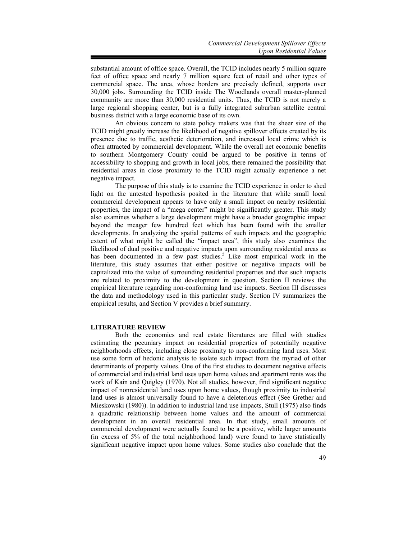substantial amount of office space. Overall, the TCID includes nearly 5 million square feet of office space and nearly 7 million square feet of retail and other types of commercial space. The area, whose borders are precisely defined, supports over 30,000 jobs. Surrounding the TCID inside The Woodlands overall master-planned community are more than 30,000 residential units. Thus, the TCID is not merely a large regional shopping center, but is a fully integrated suburban satellite central business district with a large economic base of its own.

An obvious concern to state policy makers was that the sheer size of the TCID might greatly increase the likelihood of negative spillover effects created by its presence due to traffic, aesthetic deterioration, and increased local crime which is often attracted by commercial development. While the overall net economic benefits to southern Montgomery County could be argued to be positive in terms of accessibility to shopping and growth in local jobs, there remained the possibility that residential areas in close proximity to the TCID might actually experience a net negative impact.

The purpose of this study is to examine the TCID experience in order to shed light on the untested hypothesis posited in the literature that while small local commercial development appears to have only a small impact on nearby residential properties, the impact of a "mega center" might be significantly greater. This study also examines whether a large development might have a broader geographic impact beyond the meager few hundred feet which has been found with the smaller developments. In analyzing the spatial patterns of such impacts and the geographic extent of what might be called the "impact area", this study also examines the likelihood of dual positive and negative impacts upon surrounding residential areas as has been documented in a few past studies.<sup>5</sup> Like most empirical work in the literature, this study assumes that either positive or negative impacts will be capitalized into the value of surrounding residential properties and that such impacts are related to proximity to the development in question. Section II reviews the empirical literature regarding non-conforming land use impacts. Section III discusses the data and methodology used in this particular study. Section IV summarizes the empirical results, and Section V provides a brief summary.

# **LITERATURE REVIEW**

Both the economics and real estate literatures are filled with studies estimating the pecuniary impact on residential properties of potentially negative neighborhoods effects, including close proximity to non-conforming land uses. Most use some form of hedonic analysis to isolate such impact from the myriad of other determinants of property values. One of the first studies to document negative effects of commercial and industrial land uses upon home values and apartment rents was the work of Kain and Quigley (1970). Not all studies, however, find significant negative impact of nonresidential land uses upon home values, though proximity to industrial land uses is almost universally found to have a deleterious effect (See Grether and Mieskowski (1980)). In addition to industrial land use impacts, Stull (1975) also finds a quadratic relationship between home values and the amount of commercial development in an overall residential area. In that study, small amounts of commercial development were actually found to be a positive, while larger amounts (in excess of 5% of the total neighborhood land) were found to have statistically significant negative impact upon home values. Some studies also conclude that the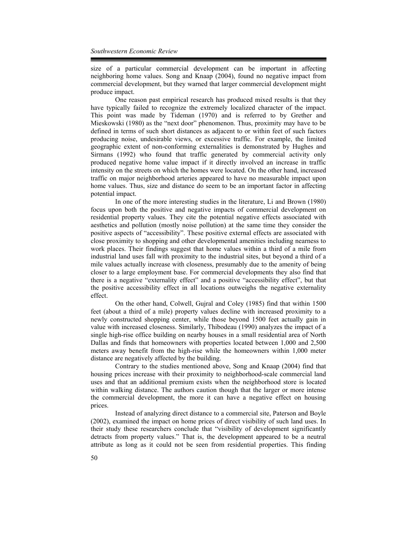size of a particular commercial development can be important in affecting neighboring home values. Song and Knaap (2004), found no negative impact from commercial development, but they warned that larger commercial development might produce impact.

One reason past empirical research has produced mixed results is that they have typically failed to recognize the extremely localized character of the impact. This point was made by Tideman (1970) and is referred to by Grether and Mieskowski (1980) as the "next door" phenomenon. Thus, proximity may have to be defined in terms of such short distances as adjacent to or within feet of such factors producing noise, undesirable views, or excessive traffic. For example, the limited geographic extent of non-conforming externalities is demonstrated by Hughes and Sirmans (1992) who found that traffic generated by commercial activity only produced negative home value impact if it directly involved an increase in traffic intensity on the streets on which the homes were located. On the other hand, increased traffic on major neighborhood arteries appeared to have no measurable impact upon home values. Thus, size and distance do seem to be an important factor in affecting potential impact.

In one of the more interesting studies in the literature, Li and Brown (1980) focus upon both the positive and negative impacts of commercial development on residential property values. They cite the potential negative effects associated with aesthetics and pollution (mostly noise pollution) at the same time they consider the positive aspects of "accessibility". These positive external effects are associated with close proximity to shopping and other developmental amenities including nearness to work places. Their findings suggest that home values within a third of a mile from industrial land uses fall with proximity to the industrial sites, but beyond a third of a mile values actually increase with closeness, presumably due to the amenity of being closer to a large employment base. For commercial developments they also find that there is a negative "externality effect" and a positive "accessibility effect", but that the positive accessibility effect in all locations outweighs the negative externality effect.

On the other hand, Colwell, Gujral and Coley (1985) find that within 1500 feet (about a third of a mile) property values decline with increased proximity to a newly constructed shopping center, while those beyond 1500 feet actually gain in value with increased closeness. Similarly, Thibodeau (1990) analyzes the impact of a single high-rise office building on nearby houses in a small residential area of North Dallas and finds that homeowners with properties located between 1,000 and 2,500 meters away benefit from the high-rise while the homeowners within 1,000 meter distance are negatively affected by the building.

Contrary to the studies mentioned above, Song and Knaap (2004) find that housing prices increase with their proximity to neighborhood-scale commercial land uses and that an additional premium exists when the neighborhood store is located within walking distance. The authors caution though that the larger or more intense the commercial development, the more it can have a negative effect on housing prices.

Instead of analyzing direct distance to a commercial site, Paterson and Boyle (2002), examined the impact on home prices of direct visibility of such land uses. In their study these researchers conclude that "visibility of development significantly detracts from property values." That is, the development appeared to be a neutral attribute as long as it could not be seen from residential properties. This finding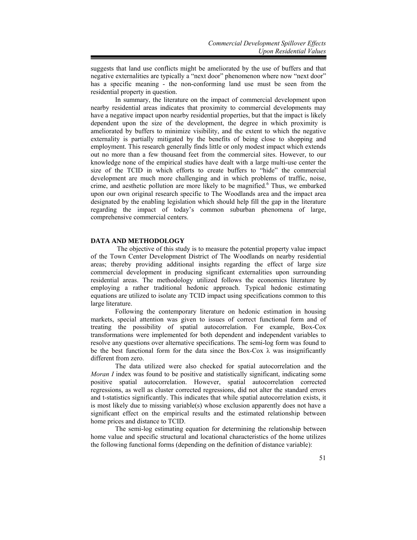suggests that land use conflicts might be ameliorated by the use of buffers and that negative externalities are typically a "next door" phenomenon where now "next door" has a specific meaning - the non-conforming land use must be seen from the residential property in question.

In summary, the literature on the impact of commercial development upon nearby residential areas indicates that proximity to commercial developments may have a negative impact upon nearby residential properties, but that the impact is likely dependent upon the size of the development, the degree in which proximity is ameliorated by buffers to minimize visibility, and the extent to which the negative externality is partially mitigated by the benefits of being close to shopping and employment. This research generally finds little or only modest impact which extends out no more than a few thousand feet from the commercial sites. However, to our knowledge none of the empirical studies have dealt with a large multi-use center the size of the TCID in which efforts to create buffers to "hide" the commercial development are much more challenging and in which problems of traffic, noise, crime, and aesthetic pollution are more likely to be magnified.<sup>6</sup> Thus, we embarked upon our own original research specific to The Woodlands area and the impact area designated by the enabling legislation which should help fill the gap in the literature regarding the impact of today's common suburban phenomena of large, comprehensive commercial centers.

#### **DATA AND METHODOLOGY**

 The objective of this study is to measure the potential property value impact of the Town Center Development District of The Woodlands on nearby residential areas; thereby providing additional insights regarding the effect of large size commercial development in producing significant externalities upon surrounding residential areas. The methodology utilized follows the economics literature by employing a rather traditional hedonic approach. Typical hedonic estimating equations are utilized to isolate any TCID impact using specifications common to this large literature.

Following the contemporary literature on hedonic estimation in housing markets, special attention was given to issues of correct functional form and of treating the possibility of spatial autocorrelation. For example, Box-Cox transformations were implemented for both dependent and independent variables to resolve any questions over alternative specifications. The semi-log form was found to be the best functional form for the data since the Box-Cox  $\lambda$  was insignificantly different from zero.

The data utilized were also checked for spatial autocorrelation and the *Moran I* index was found to be positive and statistically significant, indicating some positive spatial autocorrelation. However, spatial autocorrelation corrected regressions, as well as cluster corrected regressions, did not alter the standard errors and t-statistics significantly. This indicates that while spatial autocorrelation exists, it is most likely due to missing variable(s) whose exclusion apparently does not have a significant effect on the empirical results and the estimated relationship between home prices and distance to TCID.

The semi-log estimating equation for determining the relationship between home value and specific structural and locational characteristics of the home utilizes the following functional forms (depending on the definition of distance variable):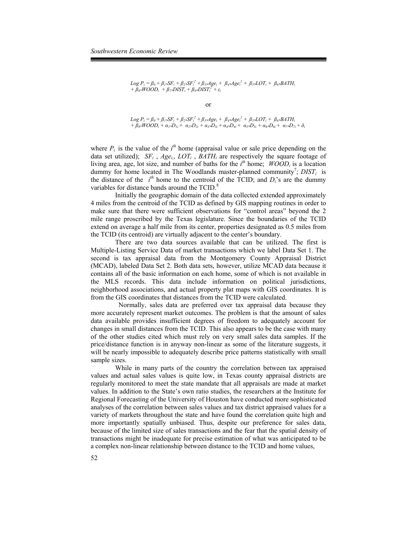$$
Log P_i = \beta_0 + \beta_1 * SF_i + \beta_2 * SF_i^2 + \beta_3 * Age_i + \beta_4 * Age_i^2 + \beta_5 * LOT_i + \beta_6 * BATH_i
$$
  
+  $\beta_8 * WOOD_i + \beta_7 * DIST_i + \beta_8 * DIST_i^2 + \varepsilon_i$ 

or

$$
Log P_i = \beta_0 + \beta_1 * SF_i + \beta_2 * SF_i^2 + \beta_3 * Age_i + \beta_4 * Age_i^2 + \beta_5 * LOT_i + \beta_6 * BATH_i
$$
  
+  $\beta_8 * WOOD_i + \alpha_1 * D_{1i} + \alpha_2 * D_{2i} + \alpha_3 * D_{3i} + \alpha_4 * D_{4i} + \alpha_5 * D_{5i} + \alpha_6 * D_{6i} + \alpha_7 * D_{7i} + \delta_i$ 

where  $P_i$  is the value of the  $i<sup>th</sup>$  home (appraisal value or sale price depending on the data set utilized);  $SF_i$ ,  $Age_i$ ,  $LOT_i$ ,  $BATH_i$  are respectively the square footage of living area, age, lot size, and number of baths for the  $i<sup>th</sup>$  home;  $WOOD<sub>i</sub>$  is a location dummy for home located in The Woodlands master-planned community<sup>7</sup>;  $DIST_i$  is the distance of the  $i^{th}$  home to the centroid of the TCID; and  $D_i$ 's are the dummy variables for distance bands around the TCID.<sup>8</sup>

Initially the geographic domain of the data collected extended approximately 4 miles from the centroid of the TCID as defined by GIS mapping routines in order to make sure that there were sufficient observations for "control areas" beyond the 2 mile range proscribed by the Texas legislature. Since the boundaries of the TCID extend on average a half mile from its center, properties designated as 0.5 miles from the TCID (its centroid) are virtually adjacent to the center's boundary.

There are two data sources available that can be utilized. The first is Multiple-Listing Service Data of market transactions which we label Data Set 1. The second is tax appraisal data from the Montgomery County Appraisal District (MCAD), labeled Data Set 2. Both data sets, however, utilize MCAD data because it contains all of the basic information on each home, some of which is not available in the MLS records. This data include information on political jurisdictions, neighborhood associations, and actual property plat maps with GIS coordinates. It is from the GIS coordinates that distances from the TCID were calculated.

 Normally, sales data are preferred over tax appraisal data because they more accurately represent market outcomes. The problem is that the amount of sales data available provides insufficient degrees of freedom to adequately account for changes in small distances from the TCID. This also appears to be the case with many of the other studies cited which must rely on very small sales data samples. If the price/distance function is in anyway non-linear as some of the literature suggests, it will be nearly impossible to adequately describe price patterns statistically with small sample sizes.

While in many parts of the country the correlation between tax appraised values and actual sales values is quite low, in Texas county appraisal districts are regularly monitored to meet the state mandate that all appraisals are made at market values. In addition to the State's own ratio studies, the researchers at the Institute for Regional Forecasting of the University of Houston have conducted more sophisticated analyses of the correlation between sales values and tax district appraised values for a variety of markets throughout the state and have found the correlation quite high and more importantly spatially unbiased. Thus, despite our preference for sales data, because of the limited size of sales transactions and the fear that the spatial density of transactions might be inadequate for precise estimation of what was anticipated to be a complex non-linear relationship between distance to the TCID and home values,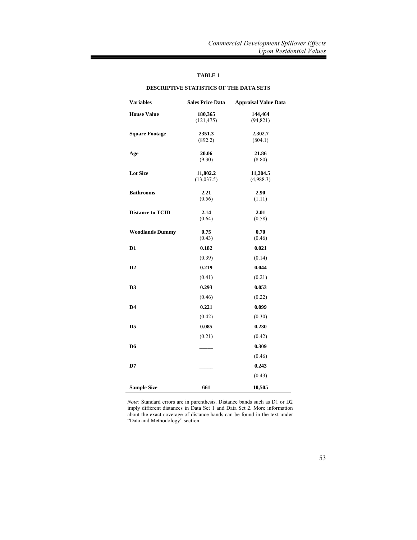# **TABLE 1**

| <b>Variables</b>        | <b>Sales Price Data</b> | <b>Appraisal Value Data</b> |
|-------------------------|-------------------------|-----------------------------|
| <b>House Value</b>      | 180,365<br>(121, 475)   | 144,464<br>(94, 821)        |
| <b>Square Footage</b>   | 2351.3<br>(892.2)       | 2,302.7<br>(804.1)          |
| Age                     | 20.06<br>(9.30)         | 21.86<br>(8.80)             |
| <b>Lot Size</b>         | 11,802.2<br>(13, 037.5) | 11,204.5<br>(4,988.3)       |
| <b>Bathrooms</b>        | 2.21<br>(0.56)          | 2.90<br>(1.11)              |
| <b>Distance to TCID</b> | 2.14<br>(0.64)          | 2.01<br>(0.58)              |
| <b>Woodlands Dummy</b>  | 0.75<br>(0.43)          | 0.70<br>(0.46)              |
| D1                      | 0.182                   | 0.021                       |
| D <sub>2</sub>          | (0.39)<br>0.219         | (0.14)<br>0.044             |
|                         | (0.41)                  | (0.21)                      |
| D <sub>3</sub>          | 0.293<br>(0.46)         | 0.053<br>(0.22)             |
| D4                      | 0.221                   | 0.099                       |
| D <sub>5</sub>          | (0.42)<br>0.085         | (0.30)<br>0.230             |
|                         | (0.21)                  | (0.42)                      |
| D6                      |                         | 0.309<br>(0.46)             |
| D7                      |                         | 0.243                       |
|                         |                         | (0.43)                      |
| <b>Sample Size</b>      | 661                     | 10,505                      |

#### **DESCRIPTIVE STATISTICS OF THE DATA SETS**

*Note:* Standard errors are in parenthesis. Distance bands such as D1 or D2 imply different distances in Data Set 1 and Data Set 2. More information about the exact coverage of distance bands can be found in the text under "Data and Methodology" section.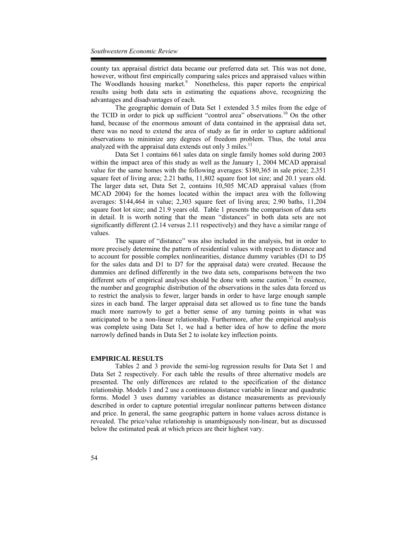county tax appraisal district data became our preferred data set. This was not done, however, without first empirically comparing sales prices and appraised values within The Woodlands housing market.<sup>9</sup> Nonetheless, this paper reports the empirical results using both data sets in estimating the equations above, recognizing the advantages and disadvantages of each.

The geographic domain of Data Set 1 extended 3.5 miles from the edge of the TCID in order to pick up sufficient "control area" observations.<sup>10</sup> On the other hand, because of the enormous amount of data contained in the appraisal data set, there was no need to extend the area of study as far in order to capture additional observations to minimize any degrees of freedom problem. Thus, the total area analyzed with the appraisal data extends out only 3 miles. $11$ 

Data Set 1 contains 661 sales data on single family homes sold during 2003 within the impact area of this study as well as the January 1, 2004 MCAD appraisal value for the same homes with the following averages: \$180,365 in sale price; 2,351 square feet of living area; 2.21 baths, 11,802 square foot lot size; and 20.1 years old. The larger data set, Data Set 2, contains 10,505 MCAD appraisal values (from MCAD 2004) for the homes located within the impact area with the following averages: \$144,464 in value; 2,303 square feet of living area; 2.90 baths, 11,204 square foot lot size; and 21.9 years old. Table 1 presents the comparison of data sets in detail. It is worth noting that the mean "distances" in both data sets are not significantly different (2.14 versus 2.11 respectively) and they have a similar range of values.

The square of "distance" was also included in the analysis, but in order to more precisely determine the pattern of residential values with respect to distance and to account for possible complex nonlinearities, distance dummy variables (D1 to D5 for the sales data and D1 to D7 for the appraisal data) were created. Because the dummies are defined differently in the two data sets, comparisons between the two different sets of empirical analyses should be done with some caution.<sup>12</sup> In essence, the number and geographic distribution of the observations in the sales data forced us to restrict the analysis to fewer, larger bands in order to have large enough sample sizes in each band. The larger appraisal data set allowed us to fine tune the bands much more narrowly to get a better sense of any turning points in what was anticipated to be a non-linear relationship. Furthermore, after the empirical analysis was complete using Data Set 1, we had a better idea of how to define the more narrowly defined bands in Data Set 2 to isolate key inflection points.

#### **EMPIRICAL RESULTS**

Tables 2 and 3 provide the semi-log regression results for Data Set 1 and Data Set 2 respectively. For each table the results of three alternative models are presented. The only differences are related to the specification of the distance relationship. Models 1 and 2 use a continuous distance variable in linear and quadratic forms. Model 3 uses dummy variables as distance measurements as previously described in order to capture potential irregular nonlinear patterns between distance and price. In general, the same geographic pattern in home values across distance is revealed. The price/value relationship is unambiguously non-linear, but as discussed below the estimated peak at which prices are their highest vary.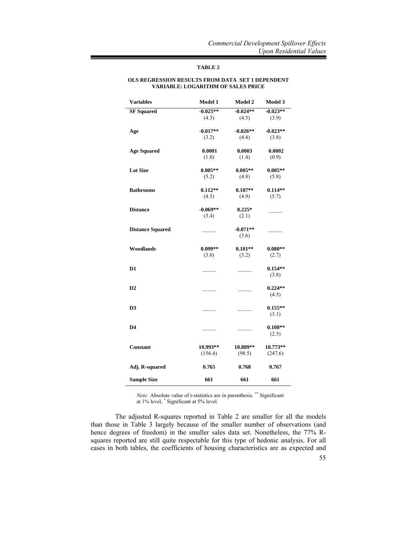# **TABLE 2**

### **OLS REGRESSION RESULTS FROM DATA SET 1 DEPENDENT VARIABLE: LOGARITHM OF SALES PRICE**

| <b>Variables</b>        | Model 1             | Model 2             | Model 3               |
|-------------------------|---------------------|---------------------|-----------------------|
| <b>SF</b> Squared       | $-0.025**$<br>(4.3) | $-0.024**$<br>(4.5) | $-0.023**$<br>(3.9)   |
| Age                     | $-0.017**$<br>(3.2) | $-0.026**$<br>(4.4) | $-0.023**$<br>(3.8)   |
| <b>Age Squared</b>      | 0.0001<br>(1.0)     | 0.0003<br>(1.4)     | 0.0002<br>(0.9)       |
| <b>Lot Size</b>         | $0.005**$<br>(5.2)  | $0.005**$<br>(4.8)  | $0.005**$<br>(5.8)    |
| <b>Bathrooms</b>        | $0.112**$<br>(4.5)  | $0.107**$<br>(4.9)  | $0.114**$<br>(5.7)    |
| <b>Distance</b>         | $-0.069**$<br>(3.4) | $0.225*$<br>(2.1)   |                       |
| <b>Distance Squared</b> |                     | $-0.071**$<br>(3.6) |                       |
| Woodlands               | $0.099**$<br>(3.0)  | $0.101**$<br>(3.2)  | $0.080**$<br>(2.7)    |
| D <sub>1</sub>          |                     |                     | $0.154**$<br>(3.8)    |
| D2                      |                     |                     | $0.224**$<br>(4.5)    |
| D <sub>3</sub>          |                     |                     | $0.155**$<br>(3.1)    |
| D4                      |                     |                     | $0.108**$<br>(2.5)    |
| <b>Constant</b>         | 10.993**<br>(156.4) | 10.809**<br>(98.5)  | $10.773**$<br>(247.6) |
| Adj. R-squared          | 0.765               | 0.768               | 0.767                 |
| <b>Sample Size</b>      | 661                 | 661                 | 661                   |

*Note:* Absolute value of t-statistics are in parenthesis. \*\* Significant at 1% level, \* Significant at 5% level.

The adjusted R-squares reported in Table 2 are smaller for all the models than those in Table 3 largely because of the smaller number of observations (and hence degrees of freedom) in the smaller sales data set. Nonetheless, the 77% Rsquares reported are still quite respectable for this type of hedonic analysis. For all cases in both tables, the coefficients of housing characteristics are as expected and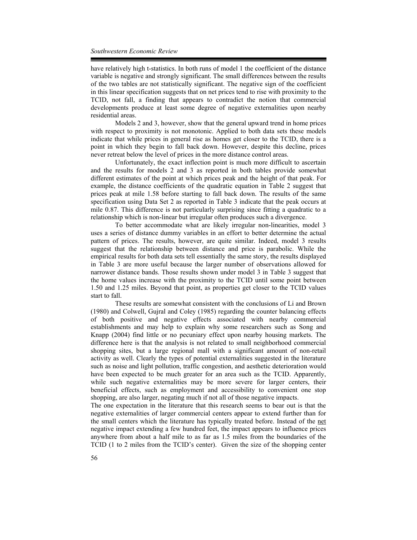have relatively high t-statistics. In both runs of model 1 the coefficient of the distance variable is negative and strongly significant. The small differences between the results of the two tables are not statistically significant. The negative sign of the coefficient in this linear specification suggests that on net prices tend to rise with proximity to the TCID, not fall, a finding that appears to contradict the notion that commercial developments produce at least some degree of negative externalities upon nearby residential areas.

Models 2 and 3, however, show that the general upward trend in home prices with respect to proximity is not monotonic. Applied to both data sets these models indicate that while prices in general rise as homes get closer to the TCID, there is a point in which they begin to fall back down. However, despite this decline, prices never retreat below the level of prices in the more distance control areas.

Unfortunately, the exact inflection point is much more difficult to ascertain and the results for models 2 and 3 as reported in both tables provide somewhat different estimates of the point at which prices peak and the height of that peak. For example, the distance coefficients of the quadratic equation in Table 2 suggest that prices peak at mile 1.58 before starting to fall back down. The results of the same specification using Data Set 2 as reported in Table 3 indicate that the peak occurs at mile 0.87. This difference is not particularly surprising since fitting a quadratic to a relationship which is non-linear but irregular often produces such a divergence.

To better accommodate what are likely irregular non-linearities, model 3 uses a series of distance dummy variables in an effort to better determine the actual pattern of prices. The results, however, are quite similar. Indeed, model 3 results suggest that the relationship between distance and price is parabolic. While the empirical results for both data sets tell essentially the same story, the results displayed in Table 3 are more useful because the larger number of observations allowed for narrower distance bands. Those results shown under model 3 in Table 3 suggest that the home values increase with the proximity to the TCID until some point between 1.50 and 1.25 miles. Beyond that point, as properties get closer to the TCID values start to fall.

These results are somewhat consistent with the conclusions of Li and Brown (1980) and Colwell, Gujral and Coley (1985) regarding the counter balancing effects of both positive and negative effects associated with nearby commercial establishments and may help to explain why some researchers such as Song and Knapp (2004) find little or no pecuniary effect upon nearby housing markets. The difference here is that the analysis is not related to small neighborhood commercial shopping sites, but a large regional mall with a significant amount of non-retail activity as well. Clearly the types of potential externalities suggested in the literature such as noise and light pollution, traffic congestion, and aesthetic deterioration would have been expected to be much greater for an area such as the TCID. Apparently, while such negative externalities may be more severe for larger centers, their beneficial effects, such as employment and accessibility to convenient one stop shopping, are also larger, negating much if not all of those negative impacts.

The one expectation in the literature that this research seems to bear out is that the negative externalities of larger commercial centers appear to extend further than for the small centers which the literature has typically treated before. Instead of the net negative impact extending a few hundred feet, the impact appears to influence prices anywhere from about a half mile to as far as 1.5 miles from the boundaries of the TCID (1 to 2 miles from the TCID's center). Given the size of the shopping center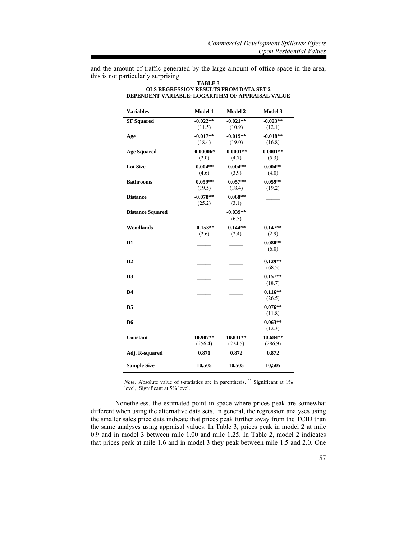and the amount of traffic generated by the large amount of office space in the area, this is not particularly surprising.

| TABLE 3<br><b>OLS REGRESSION RESULTS FROM DATA SET 2</b><br>DEPENDENT VARIABLE: LOGARITHM OF APPRAISAL VALUE |            |            |            |  |  |
|--------------------------------------------------------------------------------------------------------------|------------|------------|------------|--|--|
| <b>Variables</b>                                                                                             | Model 1    | Model 2    | Model 3    |  |  |
| <b>SF</b> Squared                                                                                            | $-0.022**$ | $-0.021**$ | $-0.023**$ |  |  |
|                                                                                                              | (11.5)     | (10.9)     | (12.1)     |  |  |
| Age                                                                                                          | $-0.017**$ | $-0.019**$ | $-0.018**$ |  |  |
|                                                                                                              | (18.4)     | (19.0)     | (16.8)     |  |  |
| <b>Age Squared</b>                                                                                           | $0.00006*$ | $0.0001**$ | $0.0001**$ |  |  |
|                                                                                                              | (2.0)      | (4.7)      | (5.3)      |  |  |
| $\mathbf{r}$ and $\mathbf{r}$                                                                                | 0.00133    | 0.00111    | 0.00133    |  |  |

| эг эчиаг <del>с</del> и | -v.v.a.<br>(11.5)    | $-0.041$<br>(10.9)   | -v.v. <i>o</i><br>(12.1) |
|-------------------------|----------------------|----------------------|--------------------------|
| Age                     | $-0.017**$<br>(18.4) | $-0.019**$<br>(19.0) | $-0.018**$<br>(16.8)     |
| <b>Age Squared</b>      | $0.00006*$<br>(2.0)  | $0.0001**$<br>(4.7)  | $0.0001**$<br>(5.3)      |
| <b>Lot Size</b>         | $0.004**$<br>(4.6)   | $0.004**$<br>(3.9)   | $0.004**$<br>(4.0)       |
| <b>Bathrooms</b>        | $0.059**$<br>(19.5)  | $0.057**$<br>(18.4)  | $0.059**$<br>(19.2)      |
| <b>Distance</b>         | $-0.078**$<br>(25.2) | $0.068**$<br>(3.1)   |                          |
| <b>Distance Squared</b> |                      | $-0.039**$<br>(6.5)  |                          |
| Woodlands               | $0.153**$<br>(2.6)   | $0.144**$<br>(2.4)   | $0.147**$<br>(2.9)       |
| D1                      |                      |                      | $0.080**$<br>(6.0)       |
| D2                      |                      |                      | $0.129**$<br>(68.5)      |
| D <sub>3</sub>          |                      |                      | $0.157**$<br>(18.7)      |
| D4                      |                      |                      | $0.116**$<br>(26.5)      |
| D5                      |                      |                      | $0.076**$<br>(11.8)      |
| D6                      |                      |                      | $0.063**$<br>(12.3)      |
| Constant                | 10.907**<br>(256.4)  | 10.831**<br>(224.5)  | 10.684**<br>(286.9)      |
| Adj. R-squared          | 0.871                | 0.872                | 0.872                    |
| <b>Sample Size</b>      | 10,505               | 10,505               | 10,505                   |

*Note:* Absolute value of t-statistics are in parenthesis. \*\* Significant at 1% level, Significant at 5% level.

Nonetheless, the estimated point in space where prices peak are somewhat different when using the alternative data sets. In general, the regression analyses using the smaller sales price data indicate that prices peak further away from the TCID than the same analyses using appraisal values. In Table 3, prices peak in model 2 at mile 0.9 and in model 3 between mile 1.00 and mile 1.25. In Table 2, model 2 indicates that prices peak at mile 1.6 and in model 3 they peak between mile 1.5 and 2.0. One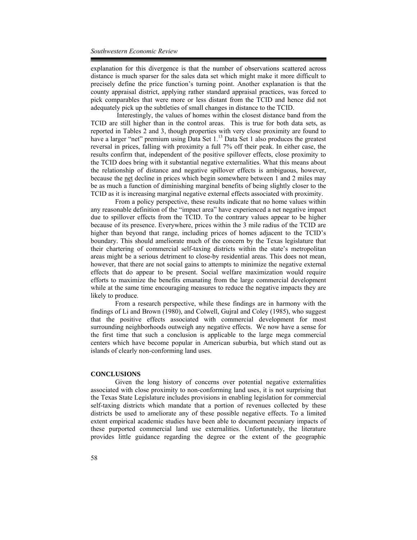explanation for this divergence is that the number of observations scattered across distance is much sparser for the sales data set which might make it more difficult to precisely define the price function's turning point. Another explanation is that the county appraisal district, applying rather standard appraisal practices, was forced to pick comparables that were more or less distant from the TCID and hence did not adequately pick up the subtleties of small changes in distance to the TCID.

 Interestingly, the values of homes within the closest distance band from the TCID are still higher than in the control areas. This is true for both data sets, as reported in Tables 2 and 3, though properties with very close proximity are found to have a larger "net" premium using Data Set 1.<sup>13</sup> Data Set 1 also produces the greatest reversal in prices, falling with proximity a full 7% off their peak. In either case, the results confirm that, independent of the positive spillover effects, close proximity to the TCID does bring with it substantial negative externalities. What this means about the relationship of distance and negative spillover effects is ambiguous, however, because the net decline in prices which begin somewhere between 1 and 2 miles may be as much a function of diminishing marginal benefits of being slightly closer to the TCID as it is increasing marginal negative external effects associated with proximity.

From a policy perspective, these results indicate that no home values within any reasonable definition of the "impact area" have experienced a net negative impact due to spillover effects from the TCID. To the contrary values appear to be higher because of its presence. Everywhere, prices within the 3 mile radius of the TCID are higher than beyond that range, including prices of homes adjacent to the TCID's boundary. This should ameliorate much of the concern by the Texas legislature that their chartering of commercial self-taxing districts within the state's metropolitan areas might be a serious detriment to close-by residential areas. This does not mean, however, that there are not social gains to attempts to minimize the negative external effects that do appear to be present. Social welfare maximization would require efforts to maximize the benefits emanating from the large commercial development while at the same time encouraging measures to reduce the negative impacts they are likely to produce.

From a research perspective, while these findings are in harmony with the findings of Li and Brown (1980), and Colwell, Gujral and Coley (1985), who suggest that the positive effects associated with commercial development for most surrounding neighborhoods outweigh any negative effects. We now have a sense for the first time that such a conclusion is applicable to the large mega commercial centers which have become popular in American suburbia, but which stand out as islands of clearly non-conforming land uses.

#### **CONCLUSIONS**

Given the long history of concerns over potential negative externalities associated with close proximity to non-conforming land uses, it is not surprising that the Texas State Legislature includes provisions in enabling legislation for commercial self-taxing districts which mandate that a portion of revenues collected by these districts be used to ameliorate any of these possible negative effects. To a limited extent empirical academic studies have been able to document pecuniary impacts of these purported commercial land use externalities. Unfortunately, the literature provides little guidance regarding the degree or the extent of the geographic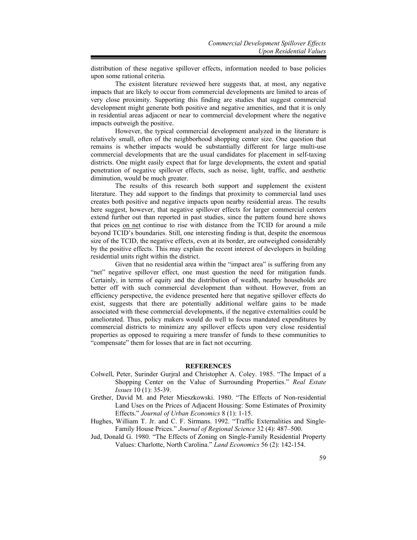distribution of these negative spillover effects, information needed to base policies upon some rational criteria.

The existent literature reviewed here suggests that, at most, any negative impacts that are likely to occur from commercial developments are limited to areas of very close proximity. Supporting this finding are studies that suggest commercial development might generate both positive and negative amenities, and that it is only in residential areas adjacent or near to commercial development where the negative impacts outweigh the positive.

However, the typical commercial development analyzed in the literature is relatively small, often of the neighborhood shopping center size. One question that remains is whether impacts would be substantially different for large multi-use commercial developments that are the usual candidates for placement in self-taxing districts. One might easily expect that for large developments, the extent and spatial penetration of negative spillover effects, such as noise, light, traffic, and aesthetic diminution, would be much greater.

The results of this research both support and supplement the existent literature. They add support to the findings that proximity to commercial land uses creates both positive and negative impacts upon nearby residential areas. The results here suggest, however, that negative spillover effects for larger commercial centers extend further out than reported in past studies, since the pattern found here shows that prices on net continue to rise with distance from the TCID for around a mile beyond TCID's boundaries. Still, one interesting finding is that, despite the enormous size of the TCID, the negative effects, even at its border, are outweighed considerably by the positive effects. This may explain the recent interest of developers in building residential units right within the district.

Given that no residential area within the "impact area" is suffering from any "net" negative spillover effect, one must question the need for mitigation funds. Certainly, in terms of equity and the distribution of wealth, nearby households are better off with such commercial development than without. However, from an efficiency perspective, the evidence presented here that negative spillover effects do exist, suggests that there are potentially additional welfare gains to be made associated with these commercial developments, if the negative externalities could be ameliorated. Thus, policy makers would do well to focus mandated expenditures by commercial districts to minimize any spillover effects upon very close residential properties as opposed to requiring a mere transfer of funds to these communities to "compensate" them for losses that are in fact not occurring.

#### **REFERENCES**

- Colwell, Peter, Surinder Gurjral and Christopher A. Coley. 1985. "The Impact of a Shopping Center on the Value of Surrounding Properties." *Real Estate Issues* 10 (1): 35-39.
- Grether, David M. and Peter Mieszkowski. 1980. "The Effects of Non-residential Land Uses on the Prices of Adjacent Housing: Some Estimates of Proximity Effects." *Journal of Urban Economics* 8 (1): 1-15.
- Hughes, William T. Jr. and C. F. Sirmans. 1992. "Traffic Externalities and Single-Family House Prices." *Journal of Regional Science* 32 (4): 487–500.
- Jud, Donald G. 1980. "The Effects of Zoning on Single-Family Residential Property Values: Charlotte, North Carolina." *Land Economics* 56 (2): 142-154.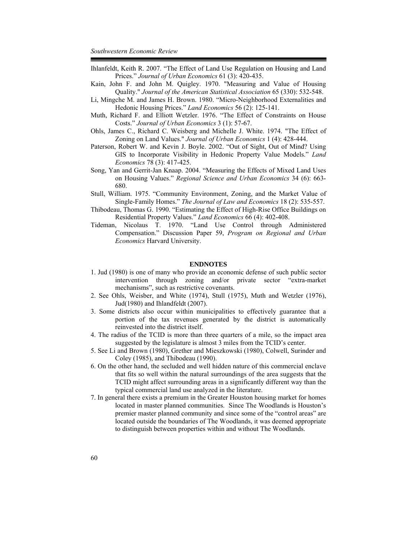- Ihlanfeldt, Keith R. 2007. "The Effect of Land Use Regulation on Housing and Land Prices." *Journal of Urban Economics* 61 (3): 420-435.
- Kain, John F. and John M. Quigley. 1970. "Measuring and Value of Housing Quality." *Journal of the American Statistical Association* 65 (330): 532-548.
- Li, Mingche M. and James H. Brown. 1980. "Micro-Neighborhood Externalities and Hedonic Housing Prices." *Land Economics* 56 (2): 125-141.
- Muth, Richard F. and Elliott Wetzler. 1976. "The Effect of Constraints on House Costs." *Journal of Urban Economics* 3 (1): 57-67.
- Ohls, James C., Richard C. Weisberg and Michelle J. White. 1974. "The Effect of Zoning on Land Values." *Journal of Urban Economics* 1 (4): 428-444.
- Paterson, Robert W. and Kevin J. Boyle. 2002. "Out of Sight, Out of Mind? Using GIS to Incorporate Visibility in Hedonic Property Value Models." *Land Economics* 78 (3): 417-425.
- Song, Yan and Gerrit-Jan Knaap. 2004. "Measuring the Effects of Mixed Land Uses on Housing Values." *Regional Science and Urban Economics* 34 (6): 663- 680.
- Stull, William. 1975. "Community Environment, Zoning, and the Market Value of Single-Family Homes." *The Journal of Law and Economics* 18 (2): 535-557.
- Thibodeau, Thomas G. 1990. "Estimating the Effect of High-Rise Office Buildings on Residential Property Values." *Land Economics* 66 (4): 402-408.
- Tideman, Nicolaus T. 1970. "Land Use Control through Administered Compensation." Discussion Paper 59, *Program on Regional and Urban Economics* Harvard University.

#### **ENDNOTES**

- 1. Jud (1980) is one of many who provide an economic defense of such public sector intervention through zoning and/or private sector "extra-market mechanisms", such as restrictive covenants.
- 2. See Ohls, Weisber, and White (1974), Stull (1975), Muth and Wetzler (1976), Jud(1980) and Ihlandfeldt (2007).
- 3. Some districts also occur within municipalities to effectively guarantee that a portion of the tax revenues generated by the district is automatically reinvested into the district itself.
- 4. The radius of the TCID is more than three quarters of a mile, so the impact area suggested by the legislature is almost 3 miles from the TCID's center.
- 5. See Li and Brown (1980), Grether and Mieszkowski (1980), Colwell, Surinder and Coley (1985), and Thibodeau (1990).
- 6. On the other hand, the secluded and well hidden nature of this commercial enclave that fits so well within the natural surroundings of the area suggests that the TCID might affect surrounding areas in a significantly different way than the typical commercial land use analyzed in the literature.
- 7. In general there exists a premium in the Greater Houston housing market for homes located in master planned communities. Since The Woodlands is Houston's premier master planned community and since some of the "control areas" are located outside the boundaries of The Woodlands, it was deemed appropriate to distinguish between properties within and without The Woodlands.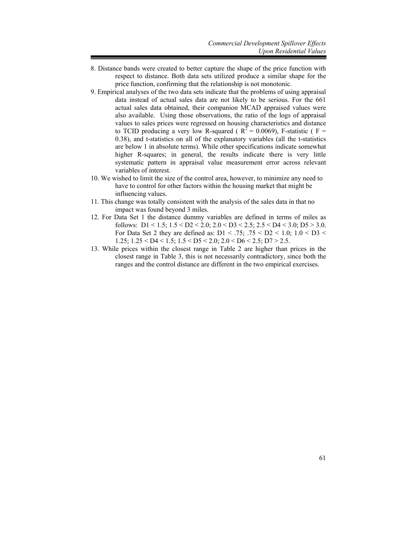- 8. Distance bands were created to better capture the shape of the price function with respect to distance. Both data sets utilized produce a similar shape for the price function, confirming that the relationship is not monotonic.
- 9. Empirical analyses of the two data sets indicate that the problems of using appraisal data instead of actual sales data are not likely to be serious. For the 661 actual sales data obtained, their companion MCAD appraised values were also available. Using those observations, the ratio of the logs of appraisal values to sales prices were regressed on housing characteristics and distance to TCID producing a very low R-squared ( $R^2 = 0.0069$ ), F-statistic ( $F =$ 0.38), and t-statistics on all of the explanatory variables (all the t-statistics are below 1 in absolute terms). While other specifications indicate somewhat higher R-squares; in general, the results indicate there is very little systematic pattern in appraisal value measurement error across relevant variables of interest.
- 10. We wished to limit the size of the control area, however, to minimize any need to have to control for other factors within the housing market that might be influencing values.
- 11. This change was totally consistent with the analysis of the sales data in that no impact was found beyond 3 miles.
- 12. For Data Set 1 the distance dummy variables are defined in terms of miles as follows:  $D1 < 1.5$ ;  $1.5 < D2 < 2.0$ ;  $2.0 < D3 < 2.5$ ;  $2.5 < D4 < 3.0$ ;  $D5 > 3.0$ . For Data Set 2 they are defined as: D1 < .75; .75 < D2 < 1.0; 1.0 < D3 < 1.25;  $1.25 <$  D4  $<$  1.5;  $1.5 <$  D5  $<$  2.0;  $2.0 <$  D6  $<$  2.5; D7  $>$  2.5.
- 13. While prices within the closest range in Table 2 are higher than prices in the closest range in Table 3, this is not necessarily contradictory, since both the ranges and the control distance are different in the two empirical exercises.